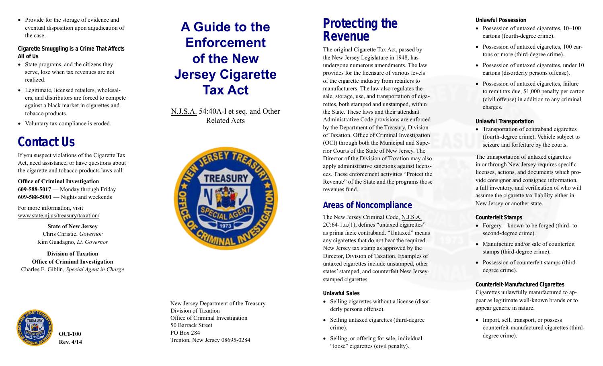• Provide for the storage of evidence and eventual disposition upon adjudication of the case.

**Cigarette Smuggling is a Crime That Affects All of Us**

- State programs, and the citizens they serve, lose when tax revenues are not realized.
- Legitimate, licensed retailers, wholesalers, and distributors are forced to compete against a black market in cigarettes and tobacco products.
- Voluntary tax compliance is eroded.

## **Contact Us**

If you suspect violations of the Cigarette Tax Act, need assistance, or have questions about the cigarette and tobacco products laws call:

**Office of Criminal Investigation 609-588-5017 —** Monday through Friday **609-588-5001** — Nights and weekends

For more information, visit www.state.nj.us/treasury/taxation/

> **State of New Jersey** Chris Christie, *Governor* Kim Guadagno, *Lt. Governor*

#### **Division of Taxation Office of Criminal Investigation** Charles E. Giblin, *Special Agent in Charge*



# **A Guide to the Enforcement of the New Jersey Cigarette Tax Act**

N.J.S.A. 54:40A-l et seq. and Other Related Acts



New Jersey Department of the Treasury Division of Taxation Office of Criminal Investigation 50 Barrack Street PO Box 284 Trenton, New Jersey 08695-0284

### **Protecting the Revenue**

The original Cigarette Tax Act, passed by the New Jersey Legislature in 1948, has undergone numerous amendments. The law provides for the licensure of various levels of the cigarette industry from retailers to manufacturers. The law also regulates the sale, storage, use, and transportation of cigarettes, both stamped and unstamped, within the State. These laws and their attendant Administrative Code provisions are enforced by the Department of the Treasury, Division of Taxation, Office of Criminal Investigation (OCI) through both the Municipal and Supe rior Courts of the State of New Jersey. The Director of the Division of Taxation may also apply administrative sanctions against licensees. These enforcement activities "Protect the Revenue" of the State and the programs those revenues fund.

### **Areas of Noncompliance**

The New Jersey Criminal Code, N.J.S.A. 2C:64-1.a.(1), defines "untaxed cigarettes" as prima facie contraband. "Untaxed" means any cigarettes that do not bear the required New Jersey tax stamp as approved by the Director, Division of Taxation. Examples of untaxed cigarettes include unstamped, other states' stamped, and counterfeit New Jerseystamped cigarettes.

#### **Unlawful Sales**

- Selling cigarettes without a license (disor derly persons offense).
- Selling untaxed cigarettes (third-degree) crime).
- Selling, or offering for sale, individual "loose" cigarettes (civil penalty).

#### **Unlawful Possession**

- Possession of untaxed cigarettes,  $10-100$ cartons (fourth-degree crime).
- Possession of untaxed cigarettes, 100 car tons or more (third-degree crime).
- Possession of untaxed cigarettes, under 10 cartons (disorderly persons offense).
- Possession of untaxed cigarettes, failure to remit tax due, \$1,000 penalty per carton (civil offense) in addition to any criminal charges.

#### **Unlawful Transportation**

• Transportation of contraband cigarettes (fourth-degree crime). Vehicle subject to seizure and forfeiture by the courts.

The transportation of untaxed cigarettes in or through New Jersey requires specific licenses, actions, and documents which provide consignor and consignee information, a full inventory, and verification of who will assume the cigarette tax liability either in New Jersey or another state.

#### **Counterfeit Stamps**

- Forgery known to be forged (third- to second-degree crime).
- Manufacture and/or sale of counterfeit stamps (third-degree crime).
- Possession of counterfeit stamps (thirddegree crime).

#### **Counterfeit-Manufactured Cigarettes**

Cigarettes unlawfully manufactured to appear as legitimate well-known brands or to appear generic in nature.

• Import, sell, transport, or possess counterfeit-manufactured cigarettes (thirddegree crime).